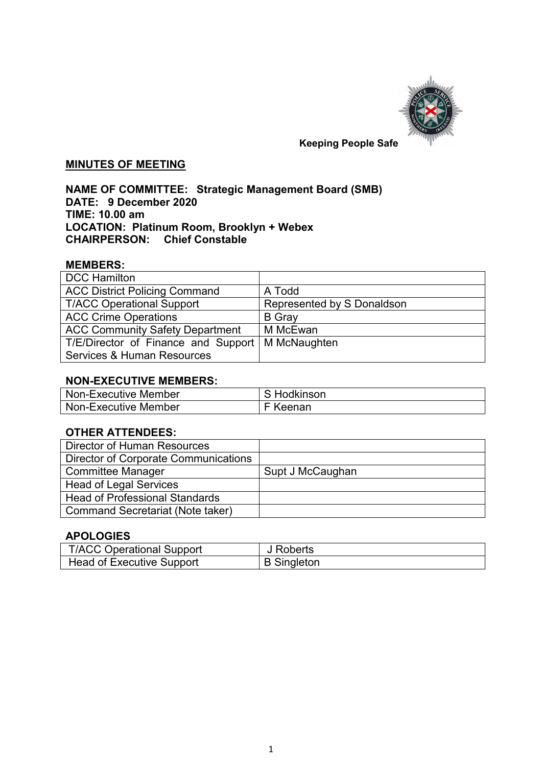

# **Keeping People Safe**

### **MINUTES OF MEETING**

## **NAME OF COMMITTEE: Strategic Management Board (SMB) DATE: 9 December 2020 TIME: 10.00 am LOCATION: Platinum Room, Brooklyn + Webex CHAIRPERSON: Chief Constable**

## **MEMBERS:**

| <b>DCC Hamilton</b>                    |                            |
|----------------------------------------|----------------------------|
| <b>ACC District Policing Command</b>   | A Todd                     |
| <b>T/ACC Operational Support</b>       | Represented by S Donaldson |
| <b>ACC Crime Operations</b>            | <b>B</b> Gray              |
| <b>ACC Community Safety Department</b> | M McEwan                   |
| T/E/Director of Finance and Support    | M McNaughten               |
| <b>Services &amp; Human Resources</b>  |                            |

#### **NON-EXECUTIVE MEMBERS:**

| Non-Executive Member | S Hodkinson |
|----------------------|-------------|
| Non-Executive Member | $F$ Keenan  |

## **OTHER ATTENDEES:**

| Director of Human Resources                 |                  |
|---------------------------------------------|------------------|
| <b>Director of Corporate Communications</b> |                  |
| <b>Committee Manager</b>                    | Supt J McCaughan |
| <b>Head of Legal Services</b>               |                  |
| <b>Head of Professional Standards</b>       |                  |
| <b>Command Secretariat (Note taker)</b>     |                  |

# **APOLOGIES**

| <b>T/ACC Operational Support</b> | J Roberts          |
|----------------------------------|--------------------|
| Head of Executive Support        | <b>B</b> Singleton |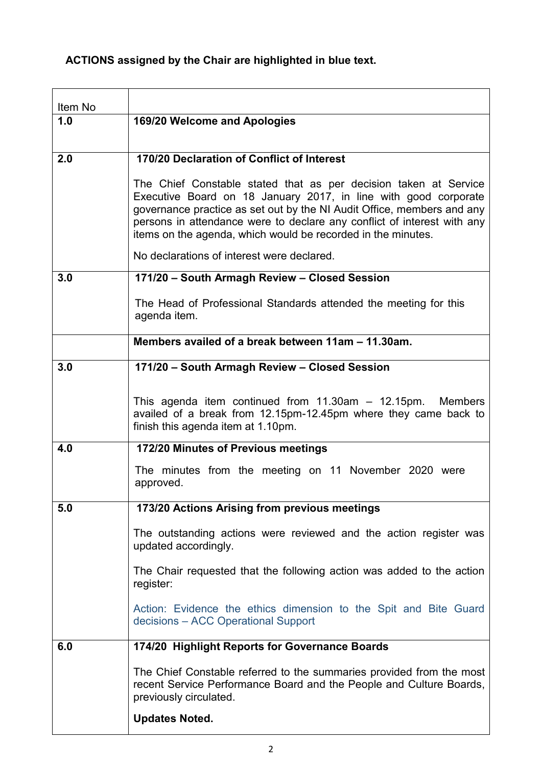# **ACTIONS assigned by the Chair are highlighted in blue text.**

| Item No |                                                                                                                                                                                                                                                                                                                                                          |
|---------|----------------------------------------------------------------------------------------------------------------------------------------------------------------------------------------------------------------------------------------------------------------------------------------------------------------------------------------------------------|
| 1.0     | 169/20 Welcome and Apologies                                                                                                                                                                                                                                                                                                                             |
|         |                                                                                                                                                                                                                                                                                                                                                          |
| 2.0     | 170/20 Declaration of Conflict of Interest                                                                                                                                                                                                                                                                                                               |
|         | The Chief Constable stated that as per decision taken at Service<br>Executive Board on 18 January 2017, in line with good corporate<br>governance practice as set out by the NI Audit Office, members and any<br>persons in attendance were to declare any conflict of interest with any<br>items on the agenda, which would be recorded in the minutes. |
|         | No declarations of interest were declared.                                                                                                                                                                                                                                                                                                               |
| 3.0     | 171/20 - South Armagh Review - Closed Session                                                                                                                                                                                                                                                                                                            |
|         | The Head of Professional Standards attended the meeting for this<br>agenda item.                                                                                                                                                                                                                                                                         |
|         | Members availed of a break between 11am - 11.30am.                                                                                                                                                                                                                                                                                                       |
| 3.0     | 171/20 - South Armagh Review - Closed Session                                                                                                                                                                                                                                                                                                            |
|         | This agenda item continued from $11.30$ am $- 12.15$ pm. Members<br>availed of a break from 12.15pm-12.45pm where they came back to<br>finish this agenda item at 1.10pm.                                                                                                                                                                                |
| 4.0     | 172/20 Minutes of Previous meetings                                                                                                                                                                                                                                                                                                                      |
|         | The minutes from the meeting on 11 November 2020 were<br>approved.                                                                                                                                                                                                                                                                                       |
| 5.0     | 173/20 Actions Arising from previous meetings                                                                                                                                                                                                                                                                                                            |
|         | The outstanding actions were reviewed and the action register was<br>updated accordingly.                                                                                                                                                                                                                                                                |
|         | The Chair requested that the following action was added to the action<br>register:                                                                                                                                                                                                                                                                       |
|         | Action: Evidence the ethics dimension to the Spit and Bite Guard<br>decisions – ACC Operational Support                                                                                                                                                                                                                                                  |
| 6.0     | 174/20 Highlight Reports for Governance Boards                                                                                                                                                                                                                                                                                                           |
|         | The Chief Constable referred to the summaries provided from the most<br>recent Service Performance Board and the People and Culture Boards,<br>previously circulated.                                                                                                                                                                                    |
|         | <b>Updates Noted.</b>                                                                                                                                                                                                                                                                                                                                    |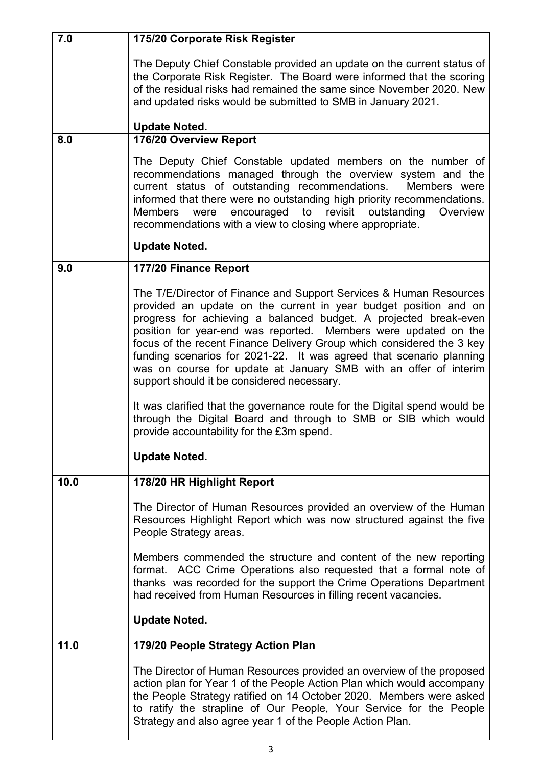| 7.0  | 175/20 Corporate Risk Register                                                                                                                                                                                                                                                                                                                                                                                                                                                                                                                  |
|------|-------------------------------------------------------------------------------------------------------------------------------------------------------------------------------------------------------------------------------------------------------------------------------------------------------------------------------------------------------------------------------------------------------------------------------------------------------------------------------------------------------------------------------------------------|
|      | The Deputy Chief Constable provided an update on the current status of<br>the Corporate Risk Register. The Board were informed that the scoring<br>of the residual risks had remained the same since November 2020. New<br>and updated risks would be submitted to SMB in January 2021.                                                                                                                                                                                                                                                         |
|      | <b>Update Noted.</b>                                                                                                                                                                                                                                                                                                                                                                                                                                                                                                                            |
| 8.0  | 176/20 Overview Report                                                                                                                                                                                                                                                                                                                                                                                                                                                                                                                          |
|      | The Deputy Chief Constable updated members on the number of<br>recommendations managed through the overview system and the<br>current status of outstanding recommendations.<br>Members were<br>informed that there were no outstanding high priority recommendations.<br>Members were encouraged to revisit outstanding<br>Overview<br>recommendations with a view to closing where appropriate.                                                                                                                                               |
|      | <b>Update Noted.</b>                                                                                                                                                                                                                                                                                                                                                                                                                                                                                                                            |
| 9.0  | 177/20 Finance Report                                                                                                                                                                                                                                                                                                                                                                                                                                                                                                                           |
|      | The T/E/Director of Finance and Support Services & Human Resources<br>provided an update on the current in year budget position and on<br>progress for achieving a balanced budget. A projected break-even<br>position for year-end was reported. Members were updated on the<br>focus of the recent Finance Delivery Group which considered the 3 key<br>funding scenarios for 2021-22. It was agreed that scenario planning<br>was on course for update at January SMB with an offer of interim<br>support should it be considered necessary. |
|      | It was clarified that the governance route for the Digital spend would be<br>through the Digital Board and through to SMB or SIB which would<br>provide accountability for the £3m spend.                                                                                                                                                                                                                                                                                                                                                       |
|      | <b>Update Noted.</b>                                                                                                                                                                                                                                                                                                                                                                                                                                                                                                                            |
| 10.0 | 178/20 HR Highlight Report                                                                                                                                                                                                                                                                                                                                                                                                                                                                                                                      |
|      | The Director of Human Resources provided an overview of the Human<br>Resources Highlight Report which was now structured against the five<br>People Strategy areas.                                                                                                                                                                                                                                                                                                                                                                             |
|      | Members commended the structure and content of the new reporting<br>format. ACC Crime Operations also requested that a formal note of<br>thanks was recorded for the support the Crime Operations Department<br>had received from Human Resources in filling recent vacancies.                                                                                                                                                                                                                                                                  |
|      | <b>Update Noted.</b>                                                                                                                                                                                                                                                                                                                                                                                                                                                                                                                            |
| 11.0 | 179/20 People Strategy Action Plan                                                                                                                                                                                                                                                                                                                                                                                                                                                                                                              |
|      | The Director of Human Resources provided an overview of the proposed<br>action plan for Year 1 of the People Action Plan which would accompany<br>the People Strategy ratified on 14 October 2020. Members were asked<br>to ratify the strapline of Our People, Your Service for the People<br>Strategy and also agree year 1 of the People Action Plan.                                                                                                                                                                                        |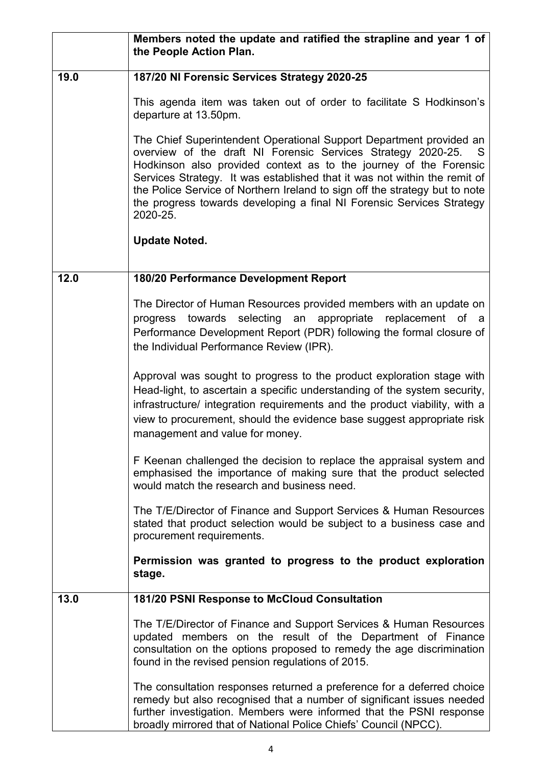|      | Members noted the update and ratified the strapline and year 1 of<br>the People Action Plan.                                                                                                                                                                                                                                                                                                                                                                    |
|------|-----------------------------------------------------------------------------------------------------------------------------------------------------------------------------------------------------------------------------------------------------------------------------------------------------------------------------------------------------------------------------------------------------------------------------------------------------------------|
| 19.0 | 187/20 NI Forensic Services Strategy 2020-25                                                                                                                                                                                                                                                                                                                                                                                                                    |
|      | This agenda item was taken out of order to facilitate S Hodkinson's<br>departure at 13.50pm.                                                                                                                                                                                                                                                                                                                                                                    |
|      | The Chief Superintendent Operational Support Department provided an<br>overview of the draft NI Forensic Services Strategy 2020-25.<br>S.<br>Hodkinson also provided context as to the journey of the Forensic<br>Services Strategy. It was established that it was not within the remit of<br>the Police Service of Northern Ireland to sign off the strategy but to note<br>the progress towards developing a final NI Forensic Services Strategy<br>2020-25. |
|      | <b>Update Noted.</b>                                                                                                                                                                                                                                                                                                                                                                                                                                            |
| 12.0 | 180/20 Performance Development Report                                                                                                                                                                                                                                                                                                                                                                                                                           |
|      | The Director of Human Resources provided members with an update on<br>progress towards selecting an appropriate replacement of a<br>Performance Development Report (PDR) following the formal closure of<br>the Individual Performance Review (IPR).                                                                                                                                                                                                            |
|      | Approval was sought to progress to the product exploration stage with<br>Head-light, to ascertain a specific understanding of the system security,<br>infrastructure/ integration requirements and the product viability, with a<br>view to procurement, should the evidence base suggest appropriate risk<br>management and value for money.                                                                                                                   |
|      | F Keenan challenged the decision to replace the appraisal system and<br>emphasised the importance of making sure that the product selected<br>would match the research and business need.                                                                                                                                                                                                                                                                       |
|      | The T/E/Director of Finance and Support Services & Human Resources<br>stated that product selection would be subject to a business case and<br>procurement requirements.                                                                                                                                                                                                                                                                                        |
|      | Permission was granted to progress to the product exploration<br>stage.                                                                                                                                                                                                                                                                                                                                                                                         |
| 13.0 | 181/20 PSNI Response to McCloud Consultation                                                                                                                                                                                                                                                                                                                                                                                                                    |
|      | The T/E/Director of Finance and Support Services & Human Resources<br>updated members on the result of the Department of Finance<br>consultation on the options proposed to remedy the age discrimination<br>found in the revised pension regulations of 2015.                                                                                                                                                                                                  |
|      | The consultation responses returned a preference for a deferred choice<br>remedy but also recognised that a number of significant issues needed<br>further investigation. Members were informed that the PSNI response<br>broadly mirrored that of National Police Chiefs' Council (NPCC).                                                                                                                                                                      |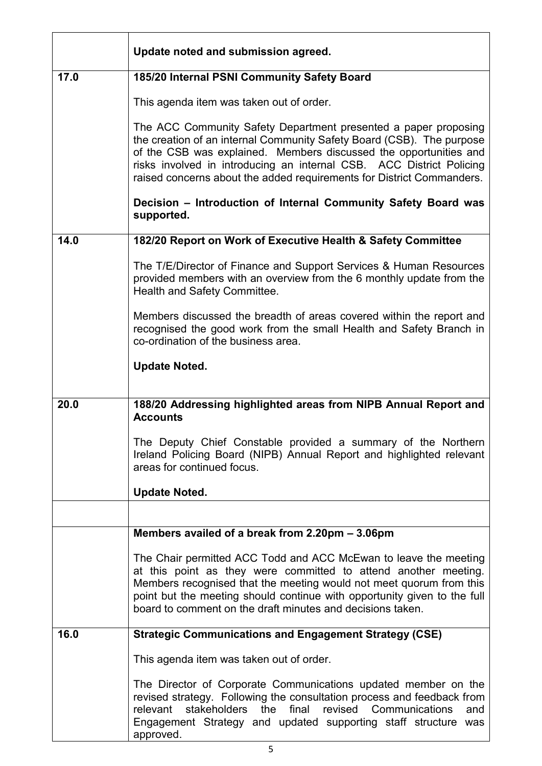|      | Update noted and submission agreed.                                                                                                                                                                                                                                                                                                                            |
|------|----------------------------------------------------------------------------------------------------------------------------------------------------------------------------------------------------------------------------------------------------------------------------------------------------------------------------------------------------------------|
| 17.0 | 185/20 Internal PSNI Community Safety Board                                                                                                                                                                                                                                                                                                                    |
|      | This agenda item was taken out of order.                                                                                                                                                                                                                                                                                                                       |
|      | The ACC Community Safety Department presented a paper proposing<br>the creation of an internal Community Safety Board (CSB). The purpose<br>of the CSB was explained. Members discussed the opportunities and<br>risks involved in introducing an internal CSB. ACC District Policing<br>raised concerns about the added requirements for District Commanders. |
|      | Decision - Introduction of Internal Community Safety Board was<br>supported.                                                                                                                                                                                                                                                                                   |
| 14.0 | 182/20 Report on Work of Executive Health & Safety Committee                                                                                                                                                                                                                                                                                                   |
|      | The T/E/Director of Finance and Support Services & Human Resources<br>provided members with an overview from the 6 monthly update from the<br>Health and Safety Committee.                                                                                                                                                                                     |
|      | Members discussed the breadth of areas covered within the report and<br>recognised the good work from the small Health and Safety Branch in<br>co-ordination of the business area.                                                                                                                                                                             |
|      | <b>Update Noted.</b>                                                                                                                                                                                                                                                                                                                                           |
| 20.0 | 188/20 Addressing highlighted areas from NIPB Annual Report and<br><b>Accounts</b>                                                                                                                                                                                                                                                                             |
|      | The Deputy Chief Constable provided a summary of the Northern<br>Ireland Policing Board (NIPB) Annual Report and highlighted relevant<br>areas for continued focus.                                                                                                                                                                                            |
|      | <b>Update Noted.</b>                                                                                                                                                                                                                                                                                                                                           |
|      |                                                                                                                                                                                                                                                                                                                                                                |
|      | Members availed of a break from 2.20pm - 3.06pm                                                                                                                                                                                                                                                                                                                |
|      | The Chair permitted ACC Todd and ACC McEwan to leave the meeting<br>at this point as they were committed to attend another meeting.<br>Members recognised that the meeting would not meet quorum from this<br>point but the meeting should continue with opportunity given to the full<br>board to comment on the draft minutes and decisions taken.           |
| 16.0 | <b>Strategic Communications and Engagement Strategy (CSE)</b>                                                                                                                                                                                                                                                                                                  |
|      | This agenda item was taken out of order.                                                                                                                                                                                                                                                                                                                       |
|      | The Director of Corporate Communications updated member on the<br>revised strategy. Following the consultation process and feedback from<br>final revised Communications<br>stakeholders the<br>relevant<br>and<br>Engagement Strategy and updated supporting staff structure was<br>approved.                                                                 |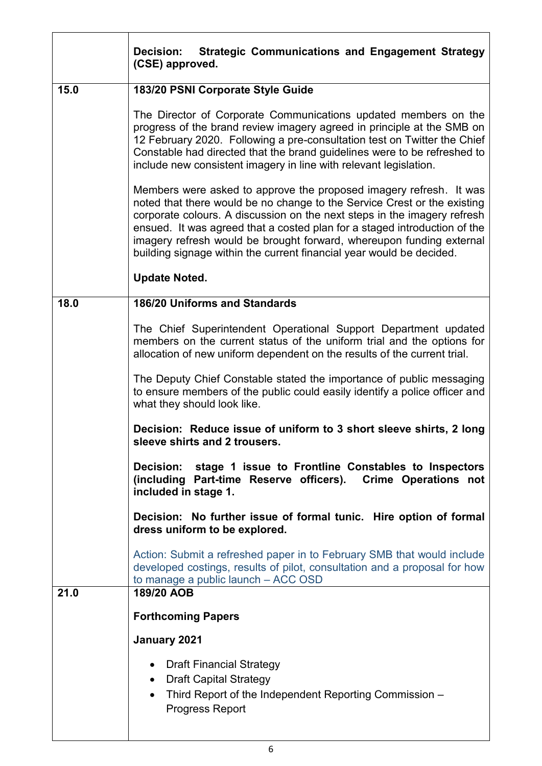|      | <b>Strategic Communications and Engagement Strategy</b><br><b>Decision:</b><br>(CSE) approved.                                                                                                                                                                                                                                                                                                                                                          |
|------|---------------------------------------------------------------------------------------------------------------------------------------------------------------------------------------------------------------------------------------------------------------------------------------------------------------------------------------------------------------------------------------------------------------------------------------------------------|
| 15.0 | 183/20 PSNI Corporate Style Guide                                                                                                                                                                                                                                                                                                                                                                                                                       |
|      | The Director of Corporate Communications updated members on the<br>progress of the brand review imagery agreed in principle at the SMB on<br>12 February 2020. Following a pre-consultation test on Twitter the Chief<br>Constable had directed that the brand guidelines were to be refreshed to<br>include new consistent imagery in line with relevant legislation.                                                                                  |
|      | Members were asked to approve the proposed imagery refresh. It was<br>noted that there would be no change to the Service Crest or the existing<br>corporate colours. A discussion on the next steps in the imagery refresh<br>ensued. It was agreed that a costed plan for a staged introduction of the<br>imagery refresh would be brought forward, whereupon funding external<br>building signage within the current financial year would be decided. |
|      | <b>Update Noted.</b>                                                                                                                                                                                                                                                                                                                                                                                                                                    |
| 18.0 | <b>186/20 Uniforms and Standards</b>                                                                                                                                                                                                                                                                                                                                                                                                                    |
|      | The Chief Superintendent Operational Support Department updated<br>members on the current status of the uniform trial and the options for<br>allocation of new uniform dependent on the results of the current trial.                                                                                                                                                                                                                                   |
|      | The Deputy Chief Constable stated the importance of public messaging<br>to ensure members of the public could easily identify a police officer and<br>what they should look like.                                                                                                                                                                                                                                                                       |
|      | Decision: Reduce issue of uniform to 3 short sleeve shirts, 2 long<br>sleeve shirts and 2 trousers.                                                                                                                                                                                                                                                                                                                                                     |
|      | Decision: stage 1 issue to Frontline Constables to Inspectors<br>(including Part-time Reserve officers). Crime Operations not<br>included in stage 1.                                                                                                                                                                                                                                                                                                   |
|      | Decision: No further issue of formal tunic. Hire option of formal<br>dress uniform to be explored.                                                                                                                                                                                                                                                                                                                                                      |
|      | Action: Submit a refreshed paper in to February SMB that would include<br>developed costings, results of pilot, consultation and a proposal for how<br>to manage a public launch - ACC OSD                                                                                                                                                                                                                                                              |
| 21.0 | 189/20 AOB                                                                                                                                                                                                                                                                                                                                                                                                                                              |
|      | <b>Forthcoming Papers</b>                                                                                                                                                                                                                                                                                                                                                                                                                               |
|      | January 2021                                                                                                                                                                                                                                                                                                                                                                                                                                            |
|      | • Draft Financial Strategy<br>• Draft Capital Strategy<br>Third Report of the Independent Reporting Commission -<br>$\bullet$<br><b>Progress Report</b>                                                                                                                                                                                                                                                                                                 |